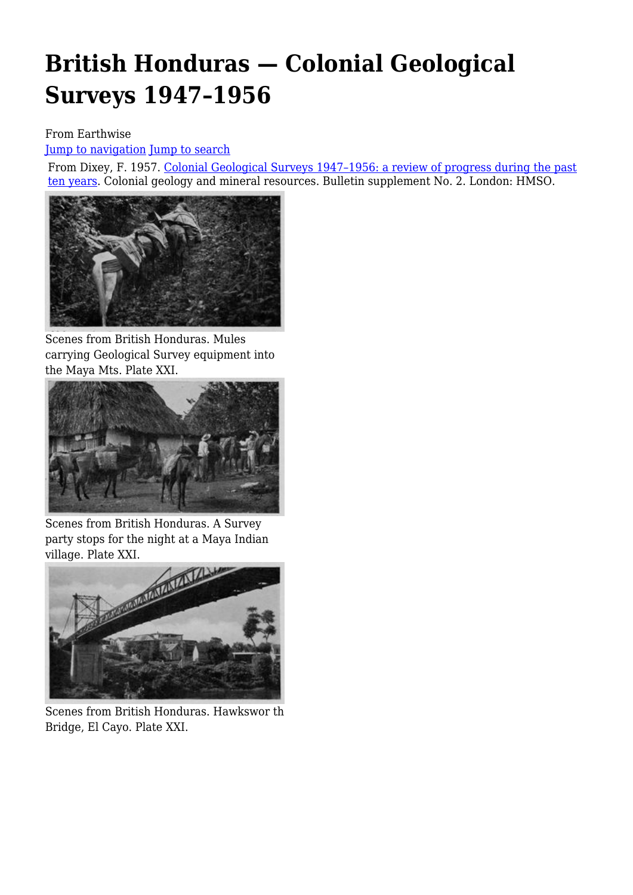# **British Honduras — Colonial Geological Surveys 1947–1956**

#### From Earthwise

[Jump to navigation](#page--1-0) [Jump to search](#page--1-0)

From Dixey, F. 1957. [Colonial Geological Surveys 1947–1956: a review of progress during the past](http://earthwise.bgs.ac.uk/index.php/Colonial_Geological_Surveys_1947%E2%80%931956:_a_review_of_progress_during_the_past_ten_years) [ten years.](http://earthwise.bgs.ac.uk/index.php/Colonial_Geological_Surveys_1947%E2%80%931956:_a_review_of_progress_during_the_past_ten_years) Colonial geology and mineral resources. Bulletin supplement No. 2. London: HMSO.



Scenes from British Honduras. Mules carrying Geological Survey equipment into the Maya Mts. Plate XXI.



Scenes from British Honduras. A Survey party stops for the night at a Maya Indian village. Plate XXI.



Scenes from British Honduras. Hawkswor th Bridge, El Cayo. Plate XXI.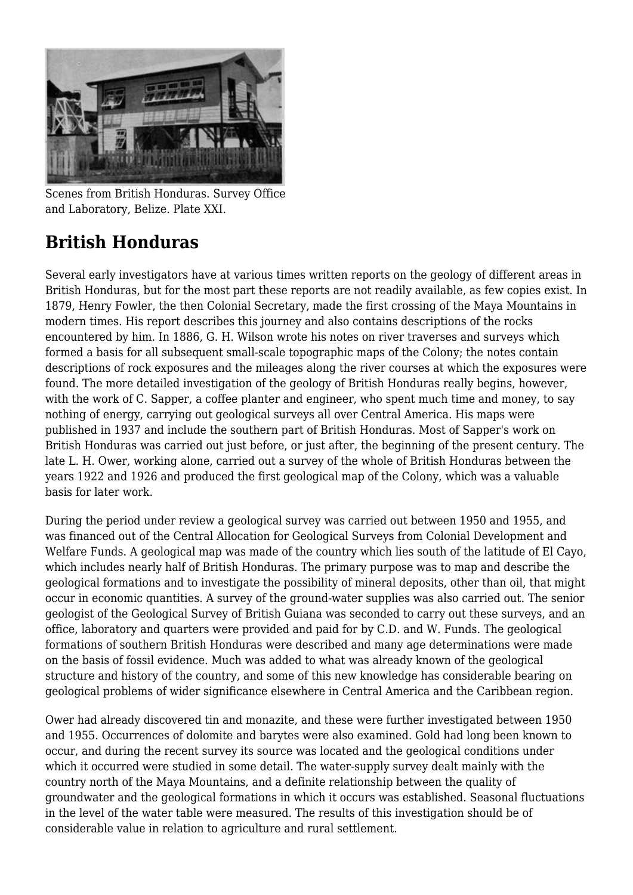

Scenes from British Honduras. Survey Office and Laboratory, Belize. Plate XXI.

## **British Honduras**

Several early investigators have at various times written reports on the geology of different areas in British Honduras, but for the most part these reports are not readily available, as few copies exist. In 1879, Henry Fowler, the then Colonial Secretary, made the first crossing of the Maya Mountains in modern times. His report describes this journey and also contains descriptions of the rocks encountered by him. In 1886, G. H. Wilson wrote his notes on river traverses and surveys which formed a basis for all subsequent small-scale topographic maps of the Colony; the notes contain descriptions of rock exposures and the mileages along the river courses at which the exposures were found. The more detailed investigation of the geology of British Honduras really begins, however, with the work of C. Sapper, a coffee planter and engineer, who spent much time and money, to say nothing of energy, carrying out geological surveys all over Central America. His maps were published in 1937 and include the southern part of British Honduras. Most of Sapper's work on British Honduras was carried out just before, or just after, the beginning of the present century. The late L. H. Ower, working alone, carried out a survey of the whole of British Honduras between the years 1922 and 1926 and produced the first geological map of the Colony, which was a valuable basis for later work.

During the period under review a geological survey was carried out between 1950 and 1955, and was financed out of the Central Allocation for Geological Surveys from Colonial Development and Welfare Funds. A geological map was made of the country which lies south of the latitude of El Cayo, which includes nearly half of British Honduras. The primary purpose was to map and describe the geological formations and to investigate the possibility of mineral deposits, other than oil, that might occur in economic quantities. A survey of the ground-water supplies was also carried out. The senior geologist of the Geological Survey of British Guiana was seconded to carry out these surveys, and an office, laboratory and quarters were provided and paid for by C.D. and W. Funds. The geological formations of southern British Honduras were described and many age determinations were made on the basis of fossil evidence. Much was added to what was already known of the geological structure and history of the country, and some of this new knowledge has considerable bearing on geological problems of wider significance elsewhere in Central America and the Caribbean region.

Ower had already discovered tin and monazite, and these were further investigated between 1950 and 1955. Occurrences of dolomite and barytes were also examined. Gold had long been known to occur, and during the recent survey its source was located and the geological conditions under which it occurred were studied in some detail. The water-supply survey dealt mainly with the country north of the Maya Mountains, and a definite relationship between the quality of groundwater and the geological formations in which it occurs was established. Seasonal fluctuations in the level of the water table were measured. The results of this investigation should be of considerable value in relation to agriculture and rural settlement.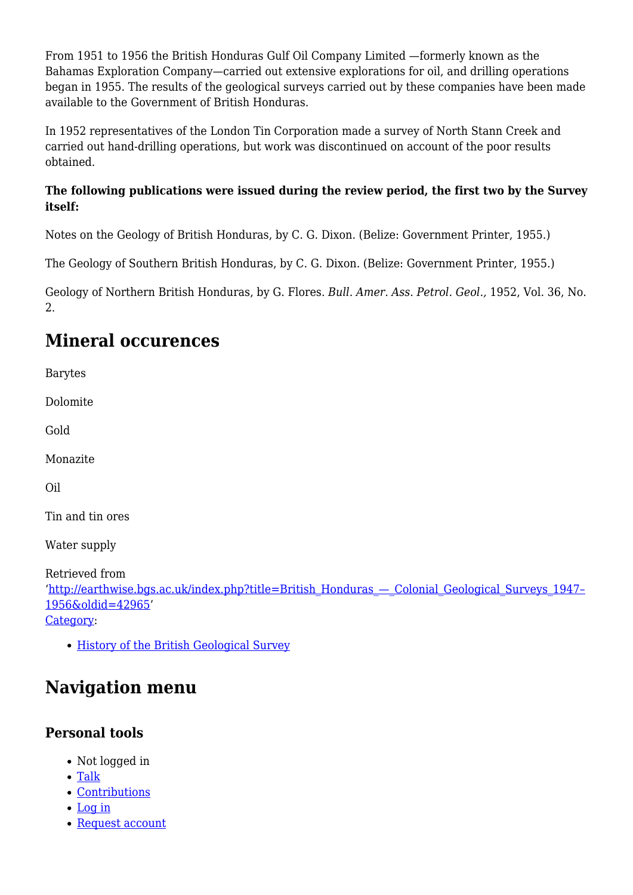From 1951 to 1956 the British Honduras Gulf Oil Company Limited —formerly known as the Bahamas Exploration Company—carried out extensive explorations for oil, and drilling operations began in 1955. The results of the geological surveys carried out by these companies have been made available to the Government of British Honduras.

In 1952 representatives of the London Tin Corporation made a survey of North Stann Creek and carried out hand-drilling operations, but work was discontinued on account of the poor results obtained.

#### **The following publications were issued during the review period, the first two by the Survey itself:**

Notes on the Geology of British Honduras, by C. G. Dixon. (Belize: Government Printer, 1955.)

The Geology of Southern British Honduras, by C. G. Dixon. (Belize: Government Printer, 1955.)

Geology of Northern British Honduras, by G. Flores. *Bull. Amer. Ass. Petrol. Geol.,* 1952, Vol. 36, No. 2.

### **Mineral occurences**

Barytes

Dolomite

Gold

Monazite

Oil

Tin and tin ores

Water supply

Retrieved from '[http://earthwise.bgs.ac.uk/index.php?title=British\\_Honduras\\_—\\_Colonial\\_Geological\\_Surveys\\_1947–](http://earthwise.bgs.ac.uk/index.php?title=British_Honduras_—_Colonial_Geological_Surveys_1947–1956&oldid=42965) [1956&oldid=42965](http://earthwise.bgs.ac.uk/index.php?title=British_Honduras_—_Colonial_Geological_Surveys_1947–1956&oldid=42965)' [Category](http://earthwise.bgs.ac.uk/index.php/Special:Categories):

[History of the British Geological Survey](http://earthwise.bgs.ac.uk/index.php/Category:History_of_the_British_Geological_Survey)

### **Navigation menu**

#### **Personal tools**

- Not logged in
- [Talk](http://earthwise.bgs.ac.uk/index.php/Special:MyTalk)
- [Contributions](http://earthwise.bgs.ac.uk/index.php/Special:MyContributions)
- [Log in](http://earthwise.bgs.ac.uk/index.php?title=Special:UserLogin&returnto=British+Honduras+%E2%80%94+Colonial+Geological+Surveys+1947%E2%80%931956&returntoquery=action%3Dmpdf)
- [Request account](http://earthwise.bgs.ac.uk/index.php/Special:RequestAccount)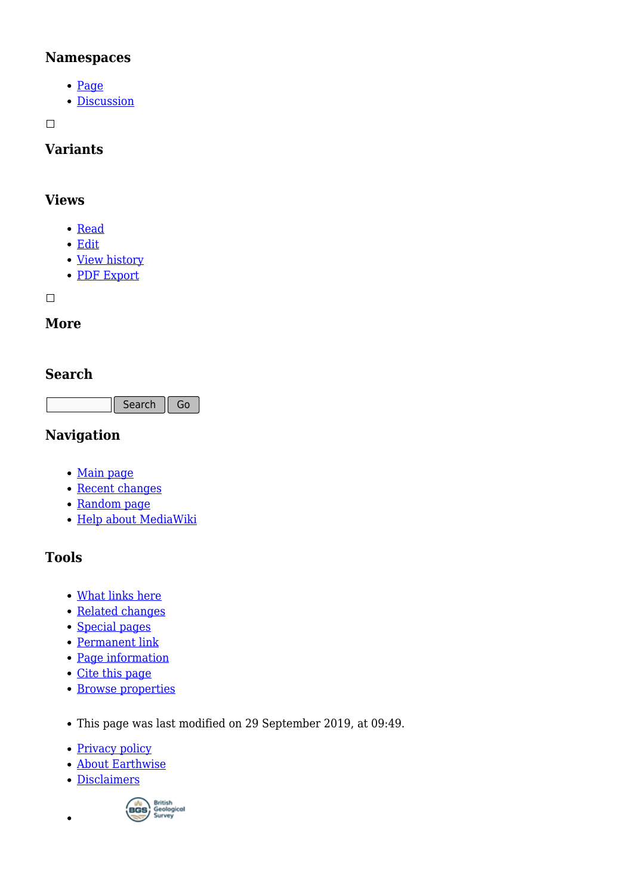#### **Namespaces**

- [Page](http://earthwise.bgs.ac.uk/index.php/British_Honduras_%E2%80%94_Colonial_Geological_Surveys_1947%E2%80%931956)
- [Discussion](http://earthwise.bgs.ac.uk/index.php?title=Talk:British_Honduras_%E2%80%94_Colonial_Geological_Surveys_1947%E2%80%931956&action=edit&redlink=1)

 $\Box$ 

#### **Variants**

#### **Views**

- [Read](http://earthwise.bgs.ac.uk/index.php/British_Honduras_%E2%80%94_Colonial_Geological_Surveys_1947%E2%80%931956)
- [Edit](http://earthwise.bgs.ac.uk/index.php?title=British_Honduras_%E2%80%94_Colonial_Geological_Surveys_1947%E2%80%931956&action=edit)
- [View history](http://earthwise.bgs.ac.uk/index.php?title=British_Honduras_%E2%80%94_Colonial_Geological_Surveys_1947%E2%80%931956&action=history)
- [PDF Export](http://earthwise.bgs.ac.uk/index.php?title=British_Honduras_%E2%80%94_Colonial_Geological_Surveys_1947%E2%80%931956&action=mpdf)

 $\Box$ 

#### **More**

#### **Search**

Search Go

#### **Navigation**

- [Main page](http://earthwise.bgs.ac.uk/index.php/Main_Page)
- [Recent changes](http://earthwise.bgs.ac.uk/index.php/Special:RecentChanges)
- [Random page](http://earthwise.bgs.ac.uk/index.php/Special:Random)
- [Help about MediaWiki](https://www.mediawiki.org/wiki/Special:MyLanguage/Help:Contents)

#### **Tools**

- [What links here](http://earthwise.bgs.ac.uk/index.php/Special:WhatLinksHere/British_Honduras_%E2%80%94_Colonial_Geological_Surveys_1947%E2%80%931956)
- [Related changes](http://earthwise.bgs.ac.uk/index.php/Special:RecentChangesLinked/British_Honduras_%E2%80%94_Colonial_Geological_Surveys_1947%E2%80%931956)
- [Special pages](http://earthwise.bgs.ac.uk/index.php/Special:SpecialPages)
- [Permanent link](http://earthwise.bgs.ac.uk/index.php?title=British_Honduras_%E2%80%94_Colonial_Geological_Surveys_1947%E2%80%931956&oldid=42965)
- [Page information](http://earthwise.bgs.ac.uk/index.php?title=British_Honduras_%E2%80%94_Colonial_Geological_Surveys_1947%E2%80%931956&action=info)
- [Cite this page](http://earthwise.bgs.ac.uk/index.php?title=Special:CiteThisPage&page=British_Honduras_%E2%80%94_Colonial_Geological_Surveys_1947%E2%80%931956&id=42965)
- [Browse properties](http://earthwise.bgs.ac.uk/index.php/Special:Browse/:British-5FHonduras-5F%E2%80%94-5FColonial-5FGeological-5FSurveys-5F1947%E2%80%931956)
- This page was last modified on 29 September 2019, at 09:49.
- [Privacy policy](http://earthwise.bgs.ac.uk/index.php/Earthwise:Privacy_policy)
- [About Earthwise](http://earthwise.bgs.ac.uk/index.php/Earthwise:About)
- [Disclaimers](http://earthwise.bgs.ac.uk/index.php/Earthwise:General_disclaimer)